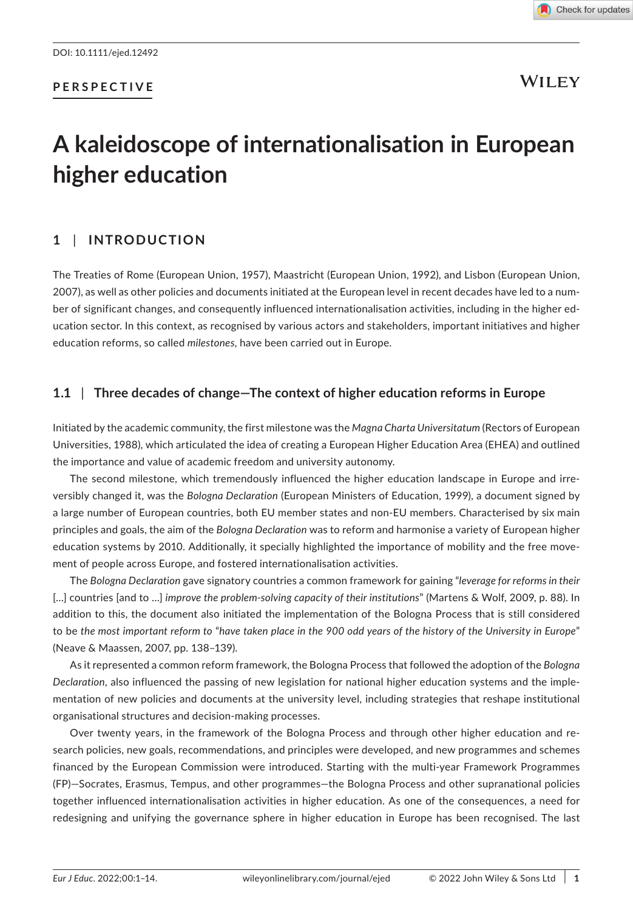## **PERSPECTIVE**

**WILEY** 

# **A kaleidoscope of internationalisation in European higher education**

## **1** | **INTRODUCTION**

The Treaties of Rome (European Union, 1957), Maastricht (European Union, 1992), and Lisbon (European Union, 2007), as well as other policies and documents initiated at the European level in recent decades have led to a number of significant changes, and consequently influenced internationalisation activities, including in the higher education sector. In this context, as recognised by various actors and stakeholders, important initiatives and higher education reforms, so called *milestones*, have been carried out in Europe.

## **1.1** | **Three decades of change—The context of higher education reforms in Europe**

Initiated by the academic community, the first milestone was the *Magna Charta Universitatum* (Rectors of European Universities, 1988), which articulated the idea of creating a European Higher Education Area (EHEA) and outlined the importance and value of academic freedom and university autonomy.

The second milestone, which tremendously influenced the higher education landscape in Europe and irreversibly changed it, was the *Bologna Declaration* (European Ministers of Education, 1999), a document signed by a large number of European countries, both EU member states and non-EU members. Characterised by six main principles and goals, the aim of the *Bologna Declaration* was to reform and harmonise a variety of European higher education systems by 2010. Additionally, it specially highlighted the importance of mobility and the free movement of people across Europe, and fostered internationalisation activities.

The *Bologna Declaration* gave signatory countries a common framework for gaining "*leverage for reforms in their* […] countries [and to …] *improve the problem-solving capacity of their institutions*" (Martens & Wolf, 2009, p. 88). In addition to this, the document also initiated the implementation of the Bologna Process that is still considered to be *the most important reform to* "*have taken place in the 900 odd years of the history of the University in Europe*" (Neave & Maassen, 2007, pp. 138–139).

As it represented a common reform framework, the Bologna Process that followed the adoption of the *Bologna Declaration*, also influenced the passing of new legislation for national higher education systems and the implementation of new policies and documents at the university level, including strategies that reshape institutional organisational structures and decision-making processes.

Over twenty years, in the framework of the Bologna Process and through other higher education and research policies, new goals, recommendations, and principles were developed, and new programmes and schemes financed by the European Commission were introduced. Starting with the multi-year Framework Programmes (FP)—Socrates, Erasmus, Tempus, and other programmes—the Bologna Process and other supranational policies together influenced internationalisation activities in higher education. As one of the consequences, a need for redesigning and unifying the governance sphere in higher education in Europe has been recognised. The last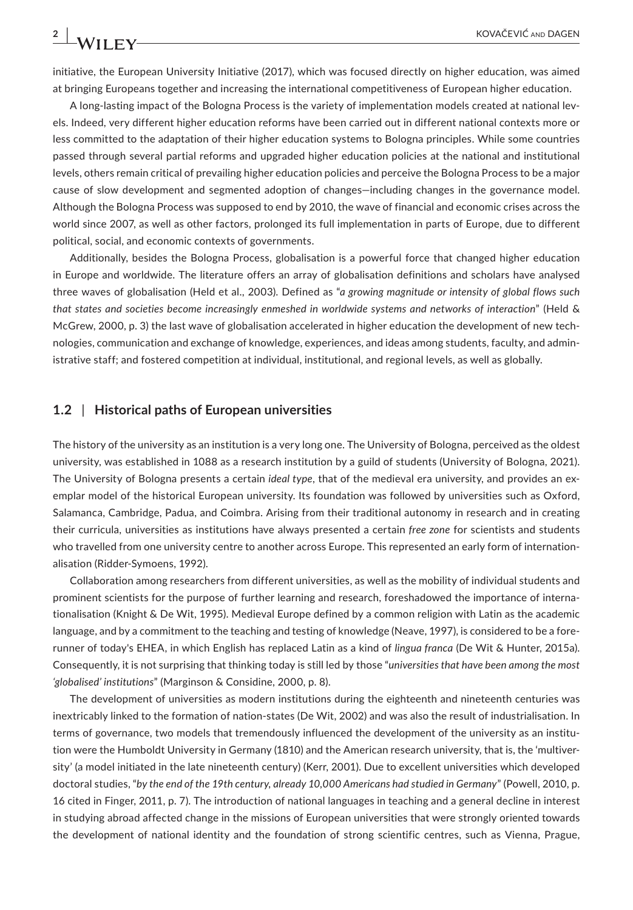initiative, the European University Initiative (2017), which was focused directly on higher education, was aimed at bringing Europeans together and increasing the international competitiveness of European higher education.

A long-lasting impact of the Bologna Process is the variety of implementation models created at national levels. Indeed, very different higher education reforms have been carried out in different national contexts more or less committed to the adaptation of their higher education systems to Bologna principles. While some countries passed through several partial reforms and upgraded higher education policies at the national and institutional levels, others remain critical of prevailing higher education policies and perceive the Bologna Process to be a major cause of slow development and segmented adoption of changes—including changes in the governance model. Although the Bologna Process was supposed to end by 2010, the wave of financial and economic crises across the world since 2007, as well as other factors, prolonged its full implementation in parts of Europe, due to different political, social, and economic contexts of governments.

Additionally, besides the Bologna Process, globalisation is a powerful force that changed higher education in Europe and worldwide. The literature offers an array of globalisation definitions and scholars have analysed three waves of globalisation (Held et al., 2003). Defined as "*a growing magnitude or intensity of global flows such that states and societies become increasingly enmeshed in worldwide systems and networks of interaction*" (Held & McGrew, 2000, p. 3) the last wave of globalisation accelerated in higher education the development of new technologies, communication and exchange of knowledge, experiences, and ideas among students, faculty, and administrative staff; and fostered competition at individual, institutional, and regional levels, as well as globally.

#### **1.2** | **Historical paths of European universities**

The history of the university as an institution is a very long one. The University of Bologna, perceived as the oldest university, was established in 1088 as a research institution by a guild of students (University of Bologna, 2021). The University of Bologna presents a certain *ideal type*, that of the medieval era university, and provides an exemplar model of the historical European university. Its foundation was followed by universities such as Oxford, Salamanca, Cambridge, Padua, and Coimbra. Arising from their traditional autonomy in research and in creating their curricula, universities as institutions have always presented a certain *free zone* for scientists and students who travelled from one university centre to another across Europe. This represented an early form of internationalisation (Ridder-Symoens, 1992).

Collaboration among researchers from different universities, as well as the mobility of individual students and prominent scientists for the purpose of further learning and research, foreshadowed the importance of internationalisation (Knight & De Wit, 1995). Medieval Europe defined by a common religion with Latin as the academic language, and by a commitment to the teaching and testing of knowledge (Neave, 1997), is considered to be a forerunner of today's EHEA, in which English has replaced Latin as a kind of *lingua franca* (De Wit & Hunter, 2015a). Consequently, it is not surprising that thinking today is still led by those "*universities that have been among the most 'globalised' institutions*" (Marginson & Considine, 2000, p. 8).

The development of universities as modern institutions during the eighteenth and nineteenth centuries was inextricably linked to the formation of nation-states (De Wit, 2002) and was also the result of industrialisation. In terms of governance, two models that tremendously influenced the development of the university as an institution were the Humboldt University in Germany (1810) and the American research university, that is, the 'multiversity' (a model initiated in the late nineteenth century) (Kerr, 2001). Due to excellent universities which developed doctoral studies, "*by the end of the 19th century, already 10,000 Americans had studied in Germany*" (Powell, 2010, p. 16 cited in Finger, 2011, p. 7). The introduction of national languages in teaching and a general decline in interest in studying abroad affected change in the missions of European universities that were strongly oriented towards the development of national identity and the foundation of strong scientific centres, such as Vienna, Prague,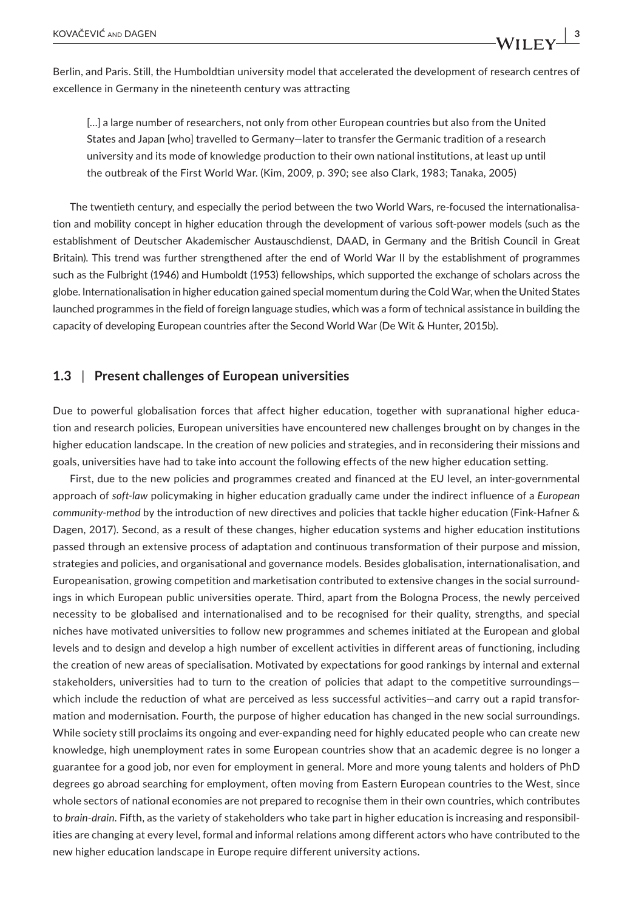Berlin, and Paris. Still, the Humboldtian university model that accelerated the development of research centres of excellence in Germany in the nineteenth century was attracting

[...] a large number of researchers, not only from other European countries but also from the United States and Japan [who] travelled to Germany—later to transfer the Germanic tradition of a research university and its mode of knowledge production to their own national institutions, at least up until the outbreak of the First World War. (Kim, 2009, p. 390; see also Clark, 1983; Tanaka, 2005)

The twentieth century, and especially the period between the two World Wars, re-focused the internationalisation and mobility concept in higher education through the development of various soft-power models (such as the establishment of Deutscher Akademischer Austauschdienst, DAAD, in Germany and the British Council in Great Britain). This trend was further strengthened after the end of World War II by the establishment of programmes such as the Fulbright (1946) and Humboldt (1953) fellowships, which supported the exchange of scholars across the globe. Internationalisation in higher education gained special momentum during the Cold War, when the United States launched programmes in the field of foreign language studies, which was a form of technical assistance in building the capacity of developing European countries after the Second World War (De Wit & Hunter, 2015b).

## **1.3** | **Present challenges of European universities**

Due to powerful globalisation forces that affect higher education, together with supranational higher education and research policies, European universities have encountered new challenges brought on by changes in the higher education landscape. In the creation of new policies and strategies, and in reconsidering their missions and goals, universities have had to take into account the following effects of the new higher education setting.

First, due to the new policies and programmes created and financed at the EU level, an inter-governmental approach of *soft-law* policymaking in higher education gradually came under the indirect influence of a *European community-method* by the introduction of new directives and policies that tackle higher education (Fink-Hafner & Dagen, 2017). Second, as a result of these changes, higher education systems and higher education institutions passed through an extensive process of adaptation and continuous transformation of their purpose and mission, strategies and policies, and organisational and governance models. Besides globalisation, internationalisation, and Europeanisation, growing competition and marketisation contributed to extensive changes in the social surroundings in which European public universities operate. Third, apart from the Bologna Process, the newly perceived necessity to be globalised and internationalised and to be recognised for their quality, strengths, and special niches have motivated universities to follow new programmes and schemes initiated at the European and global levels and to design and develop a high number of excellent activities in different areas of functioning, including the creation of new areas of specialisation. Motivated by expectations for good rankings by internal and external stakeholders, universities had to turn to the creation of policies that adapt to the competitive surroundings which include the reduction of what are perceived as less successful activities—and carry out a rapid transformation and modernisation. Fourth, the purpose of higher education has changed in the new social surroundings. While society still proclaims its ongoing and ever-expanding need for highly educated people who can create new knowledge, high unemployment rates in some European countries show that an academic degree is no longer a guarantee for a good job, nor even for employment in general. More and more young talents and holders of PhD degrees go abroad searching for employment, often moving from Eastern European countries to the West, since whole sectors of national economies are not prepared to recognise them in their own countries, which contributes to *brain-drain*. Fifth, as the variety of stakeholders who take part in higher education is increasing and responsibilities are changing at every level, formal and informal relations among different actors who have contributed to the new higher education landscape in Europe require different university actions.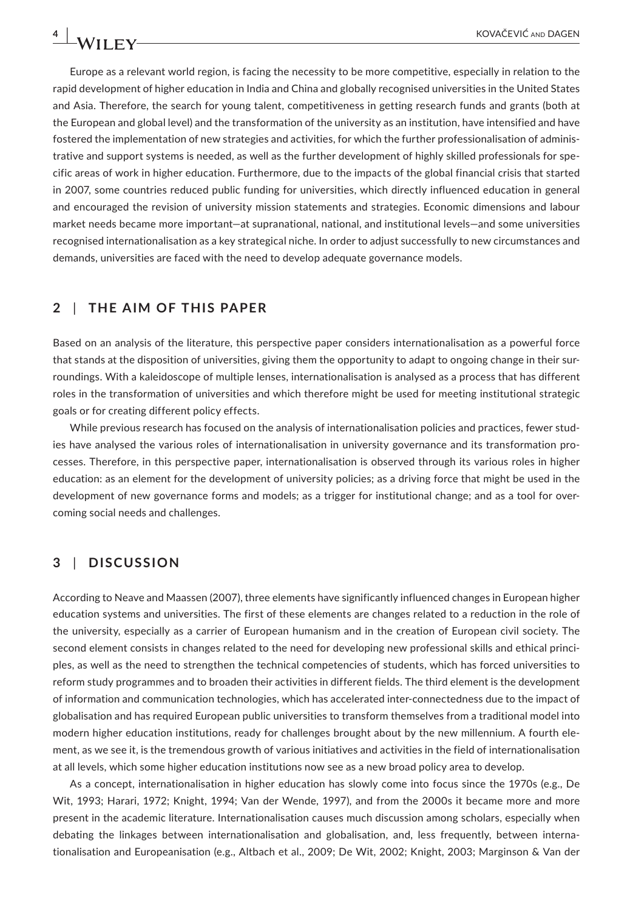Europe as a relevant world region, is facing the necessity to be more competitive, especially in relation to the rapid development of higher education in India and China and globally recognised universities in the United States and Asia. Therefore, the search for young talent, competitiveness in getting research funds and grants (both at the European and global level) and the transformation of the university as an institution, have intensified and have fostered the implementation of new strategies and activities, for which the further professionalisation of administrative and support systems is needed, as well as the further development of highly skilled professionals for specific areas of work in higher education. Furthermore, due to the impacts of the global financial crisis that started in 2007, some countries reduced public funding for universities, which directly influenced education in general and encouraged the revision of university mission statements and strategies. Economic dimensions and labour market needs became more important—at supranational, national, and institutional levels—and some universities recognised internationalisation as a key strategical niche. In order to adjust successfully to new circumstances and demands, universities are faced with the need to develop adequate governance models.

## **2** | **THE AIM OF THIS PAPER**

Based on an analysis of the literature, this perspective paper considers internationalisation as a powerful force that stands at the disposition of universities, giving them the opportunity to adapt to ongoing change in their surroundings. With a kaleidoscope of multiple lenses, internationalisation is analysed as a process that has different roles in the transformation of universities and which therefore might be used for meeting institutional strategic goals or for creating different policy effects.

While previous research has focused on the analysis of internationalisation policies and practices, fewer studies have analysed the various roles of internationalisation in university governance and its transformation processes. Therefore, in this perspective paper, internationalisation is observed through its various roles in higher education: as an element for the development of university policies; as a driving force that might be used in the development of new governance forms and models; as a trigger for institutional change; and as a tool for overcoming social needs and challenges.

## **3** | **DISCUSSION**

According to Neave and Maassen (2007), three elements have significantly influenced changes in European higher education systems and universities. The first of these elements are changes related to a reduction in the role of the university, especially as a carrier of European humanism and in the creation of European civil society. The second element consists in changes related to the need for developing new professional skills and ethical principles, as well as the need to strengthen the technical competencies of students, which has forced universities to reform study programmes and to broaden their activities in different fields. The third element is the development of information and communication technologies, which has accelerated inter-connectedness due to the impact of globalisation and has required European public universities to transform themselves from a traditional model into modern higher education institutions, ready for challenges brought about by the new millennium. A fourth element, as we see it, is the tremendous growth of various initiatives and activities in the field of internationalisation at all levels, which some higher education institutions now see as a new broad policy area to develop.

As a concept, internationalisation in higher education has slowly come into focus since the 1970s (e.g., De Wit, 1993; Harari, 1972; Knight, 1994; Van der Wende, 1997), and from the 2000s it became more and more present in the academic literature. Internationalisation causes much discussion among scholars, especially when debating the linkages between internationalisation and globalisation, and, less frequently, between internationalisation and Europeanisation (e.g., Altbach et al., 2009; De Wit, 2002; Knight, 2003; Marginson & Van der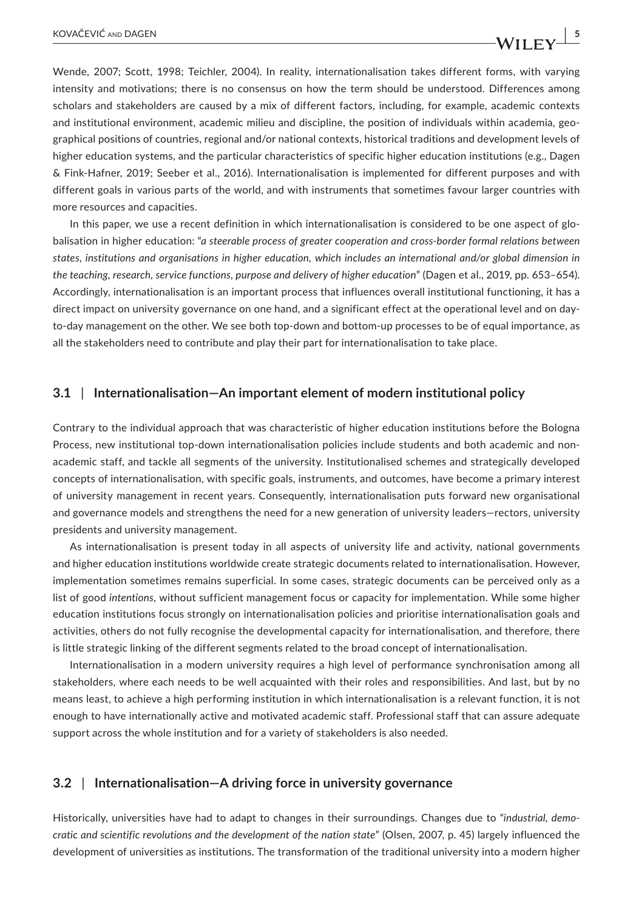Wende, 2007; Scott, 1998; Teichler, 2004). In reality, internationalisation takes different forms, with varying intensity and motivations; there is no consensus on how the term should be understood. Differences among scholars and stakeholders are caused by a mix of different factors, including, for example, academic contexts and institutional environment, academic milieu and discipline, the position of individuals within academia, geographical positions of countries, regional and/or national contexts, historical traditions and development levels of

higher education systems, and the particular characteristics of specific higher education institutions (e.g., Dagen & Fink-Hafner, 2019; Seeber et al., 2016). Internationalisation is implemented for different purposes and with different goals in various parts of the world, and with instruments that sometimes favour larger countries with more resources and capacities.

In this paper, we use a recent definition in which internationalisation is considered to be one aspect of globalisation in higher education: "*a steerable process of greater cooperation and cross-border formal relations between states, institutions and organisations in higher education, which includes an international and/or global dimension in the teaching, research, service functions, purpose and delivery of higher education*" (Dagen et al., 2019, pp. 653–654). Accordingly, internationalisation is an important process that influences overall institutional functioning, it has a direct impact on university governance on one hand, and a significant effect at the operational level and on dayto-day management on the other. We see both top-down and bottom-up processes to be of equal importance, as all the stakeholders need to contribute and play their part for internationalisation to take place.

#### **3.1** | **Internationalisation—An important element of modern institutional policy**

Contrary to the individual approach that was characteristic of higher education institutions before the Bologna Process, new institutional top-down internationalisation policies include students and both academic and nonacademic staff, and tackle all segments of the university. Institutionalised schemes and strategically developed concepts of internationalisation, with specific goals, instruments, and outcomes, have become a primary interest of university management in recent years. Consequently, internationalisation puts forward new organisational and governance models and strengthens the need for a new generation of university leaders—rectors, university presidents and university management.

As internationalisation is present today in all aspects of university life and activity, national governments and higher education institutions worldwide create strategic documents related to internationalisation. However, implementation sometimes remains superficial. In some cases, strategic documents can be perceived only as a list of good *intentions*, without sufficient management focus or capacity for implementation. While some higher education institutions focus strongly on internationalisation policies and prioritise internationalisation goals and activities, others do not fully recognise the developmental capacity for internationalisation, and therefore, there is little strategic linking of the different segments related to the broad concept of internationalisation.

Internationalisation in a modern university requires a high level of performance synchronisation among all stakeholders, where each needs to be well acquainted with their roles and responsibilities. And last, but by no means least, to achieve a high performing institution in which internationalisation is a relevant function, it is not enough to have internationally active and motivated academic staff. Professional staff that can assure adequate support across the whole institution and for a variety of stakeholders is also needed.

#### **3.2** | **Internationalisation—A driving force in university governance**

Historically, universities have had to adapt to changes in their surroundings. Changes due to "*industrial, democratic and scientific revolutions and the development of the nation state*" (Olsen, 2007, p. 45) largely influenced the development of universities as institutions. The transformation of the traditional university into a modern higher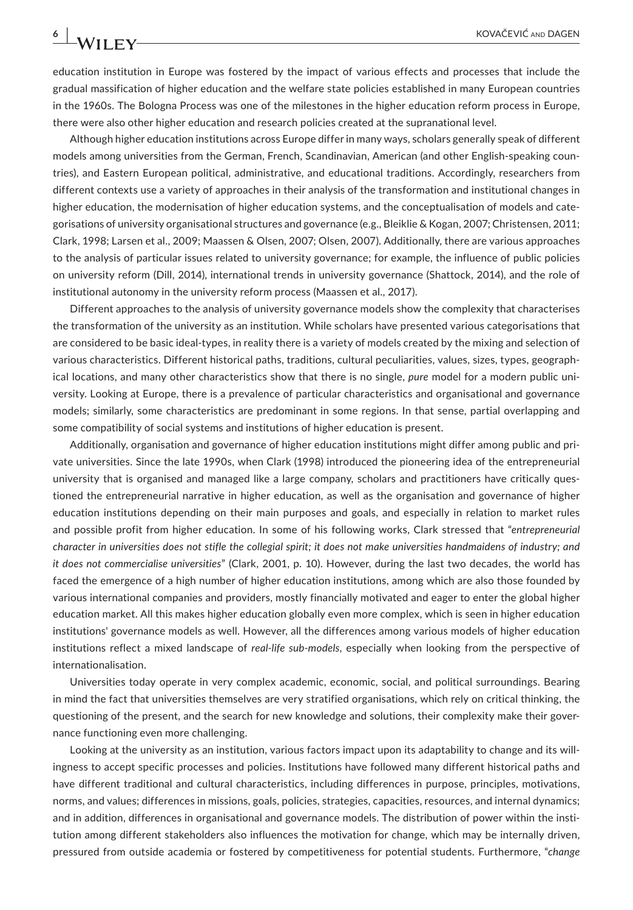education institution in Europe was fostered by the impact of various effects and processes that include the gradual massification of higher education and the welfare state policies established in many European countries in the 1960s. The Bologna Process was one of the milestones in the higher education reform process in Europe, there were also other higher education and research policies created at the supranational level.

Although higher education institutions across Europe differ in many ways, scholars generally speak of different models among universities from the German, French, Scandinavian, American (and other English-speaking countries), and Eastern European political, administrative, and educational traditions. Accordingly, researchers from different contexts use a variety of approaches in their analysis of the transformation and institutional changes in higher education, the modernisation of higher education systems, and the conceptualisation of models and categorisations of university organisational structures and governance (e.g., Bleiklie & Kogan, 2007; Christensen, 2011; Clark, 1998; Larsen et al., 2009; Maassen & Olsen, 2007; Olsen, 2007). Additionally, there are various approaches to the analysis of particular issues related to university governance; for example, the influence of public policies on university reform (Dill, 2014), international trends in university governance (Shattock, 2014), and the role of institutional autonomy in the university reform process (Maassen et al., 2017).

Different approaches to the analysis of university governance models show the complexity that characterises the transformation of the university as an institution. While scholars have presented various categorisations that are considered to be basic ideal-types, in reality there is a variety of models created by the mixing and selection of various characteristics. Different historical paths, traditions, cultural peculiarities, values, sizes, types, geographical locations, and many other characteristics show that there is no single, *pure* model for a modern public university. Looking at Europe, there is a prevalence of particular characteristics and organisational and governance models; similarly, some characteristics are predominant in some regions. In that sense, partial overlapping and some compatibility of social systems and institutions of higher education is present.

Additionally, organisation and governance of higher education institutions might differ among public and private universities. Since the late 1990s, when Clark (1998) introduced the pioneering idea of the entrepreneurial university that is organised and managed like a large company, scholars and practitioners have critically questioned the entrepreneurial narrative in higher education, as well as the organisation and governance of higher education institutions depending on their main purposes and goals, and especially in relation to market rules and possible profit from higher education. In some of his following works, Clark stressed that "*entrepreneurial character in universities does not stifle the collegial spirit; it does not make universities handmaidens of industry; and it does not commercialise universities*" (Clark, 2001, p. 10). However, during the last two decades, the world has faced the emergence of a high number of higher education institutions, among which are also those founded by various international companies and providers, mostly financially motivated and eager to enter the global higher education market. All this makes higher education globally even more complex, which is seen in higher education institutions' governance models as well. However, all the differences among various models of higher education institutions reflect a mixed landscape of *real-life sub-models*, especially when looking from the perspective of internationalisation.

Universities today operate in very complex academic, economic, social, and political surroundings. Bearing in mind the fact that universities themselves are very stratified organisations, which rely on critical thinking, the questioning of the present, and the search for new knowledge and solutions, their complexity make their governance functioning even more challenging.

Looking at the university as an institution, various factors impact upon its adaptability to change and its willingness to accept specific processes and policies. Institutions have followed many different historical paths and have different traditional and cultural characteristics, including differences in purpose, principles, motivations, norms, and values; differences in missions, goals, policies, strategies, capacities, resources, and internal dynamics; and in addition, differences in organisational and governance models. The distribution of power within the institution among different stakeholders also influences the motivation for change, which may be internally driven, pressured from outside academia or fostered by competitiveness for potential students. Furthermore, "*change*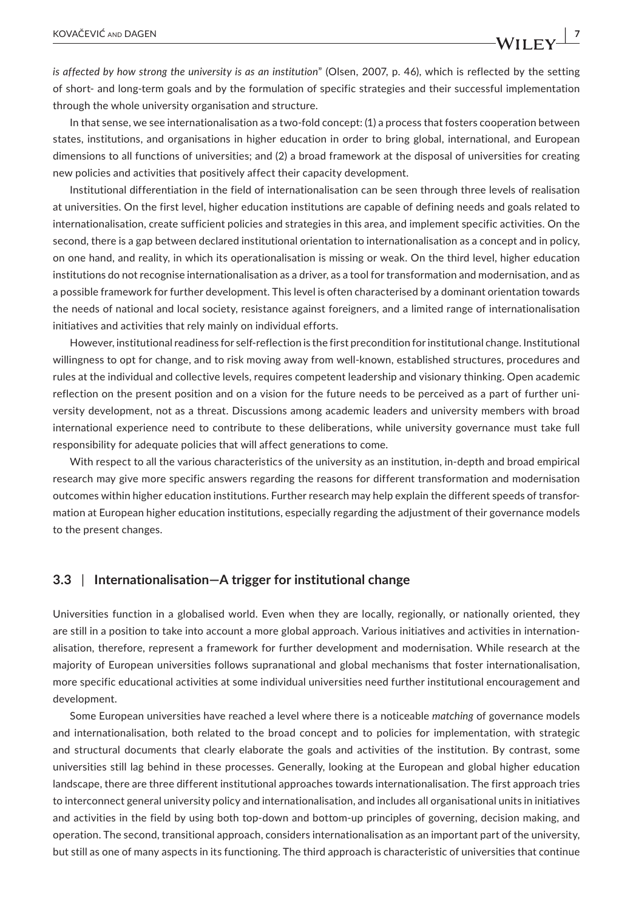*is affected by how strong the university is as an institution*" (Olsen, 2007, p. 46), which is reflected by the setting of short- and long-term goals and by the formulation of specific strategies and their successful implementation through the whole university organisation and structure.

In that sense, we see internationalisation as a two-fold concept: (1) a process that fosters cooperation between states, institutions, and organisations in higher education in order to bring global, international, and European dimensions to all functions of universities; and (2) a broad framework at the disposal of universities for creating new policies and activities that positively affect their capacity development.

Institutional differentiation in the field of internationalisation can be seen through three levels of realisation at universities. On the first level, higher education institutions are capable of defining needs and goals related to internationalisation, create sufficient policies and strategies in this area, and implement specific activities. On the second, there is a gap between declared institutional orientation to internationalisation as a concept and in policy, on one hand, and reality, in which its operationalisation is missing or weak. On the third level, higher education institutions do not recognise internationalisation as a driver, as a tool for transformation and modernisation, and as a possible framework for further development. This level is often characterised by a dominant orientation towards the needs of national and local society, resistance against foreigners, and a limited range of internationalisation initiatives and activities that rely mainly on individual efforts.

However, institutional readiness for self-reflection is the first precondition for institutional change. Institutional willingness to opt for change, and to risk moving away from well-known, established structures, procedures and rules at the individual and collective levels, requires competent leadership and visionary thinking. Open academic reflection on the present position and on a vision for the future needs to be perceived as a part of further university development, not as a threat. Discussions among academic leaders and university members with broad international experience need to contribute to these deliberations, while university governance must take full responsibility for adequate policies that will affect generations to come.

With respect to all the various characteristics of the university as an institution, in-depth and broad empirical research may give more specific answers regarding the reasons for different transformation and modernisation outcomes within higher education institutions. Further research may help explain the different speeds of transformation at European higher education institutions, especially regarding the adjustment of their governance models to the present changes.

#### **3.3** | **Internationalisation—A trigger for institutional change**

Universities function in a globalised world. Even when they are locally, regionally, or nationally oriented, they are still in a position to take into account a more global approach. Various initiatives and activities in internationalisation, therefore, represent a framework for further development and modernisation. While research at the majority of European universities follows supranational and global mechanisms that foster internationalisation, more specific educational activities at some individual universities need further institutional encouragement and development.

Some European universities have reached a level where there is a noticeable *matching* of governance models and internationalisation, both related to the broad concept and to policies for implementation, with strategic and structural documents that clearly elaborate the goals and activities of the institution. By contrast, some universities still lag behind in these processes. Generally, looking at the European and global higher education landscape, there are three different institutional approaches towards internationalisation. The first approach tries to interconnect general university policy and internationalisation, and includes all organisational units in initiatives and activities in the field by using both top-down and bottom-up principles of governing, decision making, and operation. The second, transitional approach, considers internationalisation as an important part of the university, but still as one of many aspects in its functioning. The third approach is characteristic of universities that continue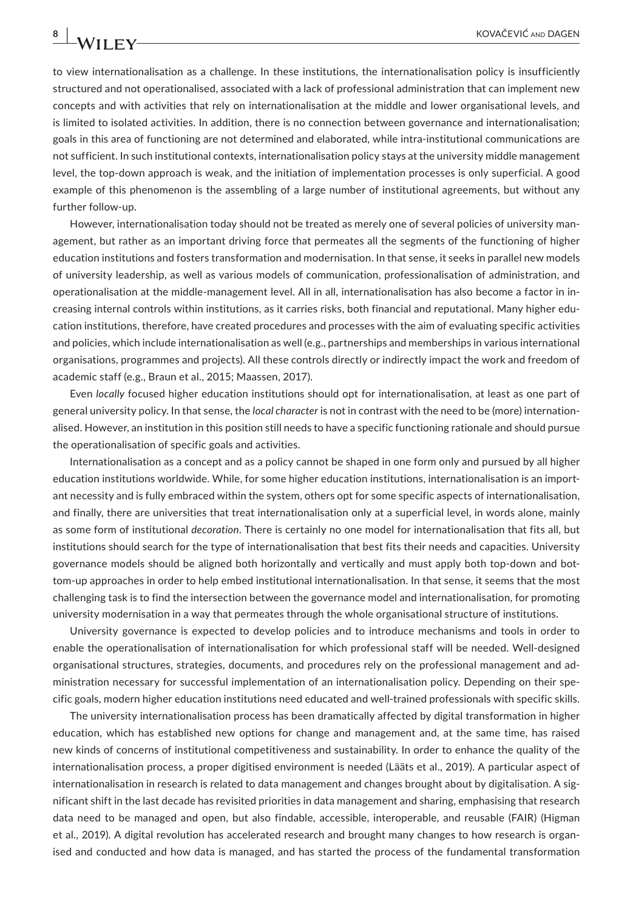to view internationalisation as a challenge. In these institutions, the internationalisation policy is insufficiently structured and not operationalised, associated with a lack of professional administration that can implement new concepts and with activities that rely on internationalisation at the middle and lower organisational levels, and is limited to isolated activities. In addition, there is no connection between governance and internationalisation; goals in this area of functioning are not determined and elaborated, while intra-institutional communications are not sufficient. In such institutional contexts, internationalisation policy stays at the university middle management level, the top-down approach is weak, and the initiation of implementation processes is only superficial. A good example of this phenomenon is the assembling of a large number of institutional agreements, but without any further follow-up.

However, internationalisation today should not be treated as merely one of several policies of university management, but rather as an important driving force that permeates all the segments of the functioning of higher education institutions and fosters transformation and modernisation. In that sense, it seeks in parallel new models of university leadership, as well as various models of communication, professionalisation of administration, and operationalisation at the middle-management level. All in all, internationalisation has also become a factor in increasing internal controls within institutions, as it carries risks, both financial and reputational. Many higher education institutions, therefore, have created procedures and processes with the aim of evaluating specific activities and policies, which include internationalisation as well (e.g., partnerships and memberships in various international organisations, programmes and projects). All these controls directly or indirectly impact the work and freedom of academic staff (e.g., Braun et al., 2015; Maassen, 2017).

Even *locally* focused higher education institutions should opt for internationalisation, at least as one part of general university policy. In that sense, the *local character* is not in contrast with the need to be (more) internationalised. However, an institution in this position still needs to have a specific functioning rationale and should pursue the operationalisation of specific goals and activities.

Internationalisation as a concept and as a policy cannot be shaped in one form only and pursued by all higher education institutions worldwide. While, for some higher education institutions, internationalisation is an important necessity and is fully embraced within the system, others opt for some specific aspects of internationalisation, and finally, there are universities that treat internationalisation only at a superficial level, in words alone, mainly as some form of institutional *decoration*. There is certainly no one model for internationalisation that fits all, but institutions should search for the type of internationalisation that best fits their needs and capacities. University governance models should be aligned both horizontally and vertically and must apply both top-down and bottom-up approaches in order to help embed institutional internationalisation. In that sense, it seems that the most challenging task is to find the intersection between the governance model and internationalisation, for promoting university modernisation in a way that permeates through the whole organisational structure of institutions.

University governance is expected to develop policies and to introduce mechanisms and tools in order to enable the operationalisation of internationalisation for which professional staff will be needed. Well-designed organisational structures, strategies, documents, and procedures rely on the professional management and administration necessary for successful implementation of an internationalisation policy. Depending on their specific goals, modern higher education institutions need educated and well-trained professionals with specific skills.

The university internationalisation process has been dramatically affected by digital transformation in higher education, which has established new options for change and management and, at the same time, has raised new kinds of concerns of institutional competitiveness and sustainability. In order to enhance the quality of the internationalisation process, a proper digitised environment is needed (Lääts et al., 2019). A particular aspect of internationalisation in research is related to data management and changes brought about by digitalisation. A significant shift in the last decade has revisited priorities in data management and sharing, emphasising that research data need to be managed and open, but also findable, accessible, interoperable, and reusable (FAIR) (Higman et al., 2019). A digital revolution has accelerated research and brought many changes to how research is organised and conducted and how data is managed, and has started the process of the fundamental transformation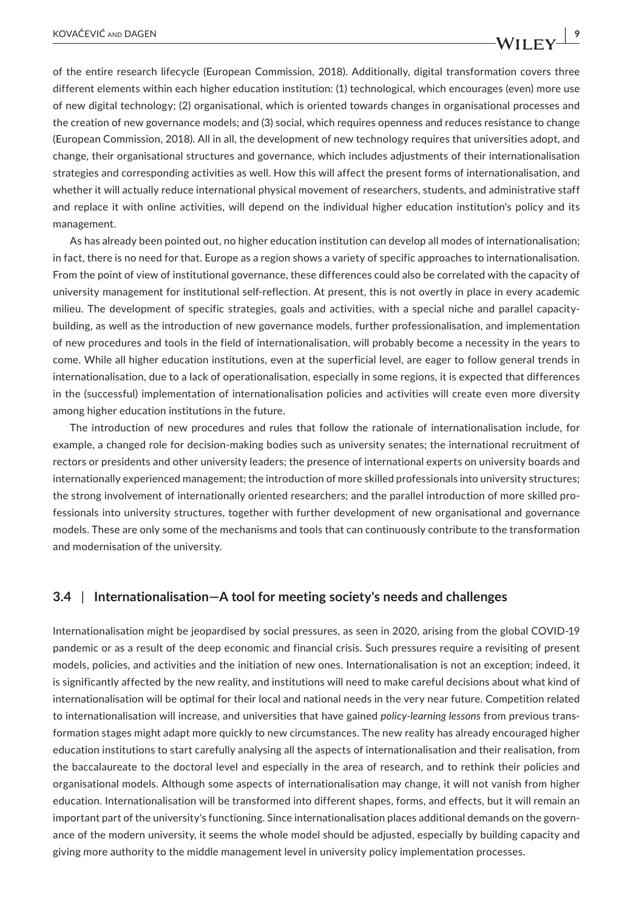of the entire research lifecycle (European Commission, 2018). Additionally, digital transformation covers three different elements within each higher education institution: (1) technological, which encourages (even) more use of new digital technology; (2) organisational, which is oriented towards changes in organisational processes and the creation of new governance models; and (3) social, which requires openness and reduces resistance to change (European Commission, 2018). All in all, the development of new technology requires that universities adopt, and change, their organisational structures and governance, which includes adjustments of their internationalisation strategies and corresponding activities as well. How this will affect the present forms of internationalisation, and whether it will actually reduce international physical movement of researchers, students, and administrative staff and replace it with online activities, will depend on the individual higher education institution's policy and its management.

As has already been pointed out, no higher education institution can develop all modes of internationalisation; in fact, there is no need for that. Europe as a region shows a variety of specific approaches to internationalisation. From the point of view of institutional governance, these differences could also be correlated with the capacity of university management for institutional self-reflection. At present, this is not overtly in place in every academic milieu. The development of specific strategies, goals and activities, with a special niche and parallel capacitybuilding, as well as the introduction of new governance models, further professionalisation, and implementation of new procedures and tools in the field of internationalisation, will probably become a necessity in the years to come. While all higher education institutions, even at the superficial level, are eager to follow general trends in internationalisation, due to a lack of operationalisation, especially in some regions, it is expected that differences in the (successful) implementation of internationalisation policies and activities will create even more diversity among higher education institutions in the future.

The introduction of new procedures and rules that follow the rationale of internationalisation include, for example, a changed role for decision-making bodies such as university senates; the international recruitment of rectors or presidents and other university leaders; the presence of international experts on university boards and internationally experienced management; the introduction of more skilled professionals into university structures; the strong involvement of internationally oriented researchers; and the parallel introduction of more skilled professionals into university structures, together with further development of new organisational and governance models. These are only some of the mechanisms and tools that can continuously contribute to the transformation and modernisation of the university.

### **3.4** | **Internationalisation—A tool for meeting society's needs and challenges**

Internationalisation might be jeopardised by social pressures, as seen in 2020, arising from the global COVID-19 pandemic or as a result of the deep economic and financial crisis. Such pressures require a revisiting of present models, policies, and activities and the initiation of new ones. Internationalisation is not an exception; indeed, it is significantly affected by the new reality, and institutions will need to make careful decisions about what kind of internationalisation will be optimal for their local and national needs in the very near future. Competition related to internationalisation will increase, and universities that have gained *policy-learning lessons* from previous transformation stages might adapt more quickly to new circumstances. The new reality has already encouraged higher education institutions to start carefully analysing all the aspects of internationalisation and their realisation, from the baccalaureate to the doctoral level and especially in the area of research, and to rethink their policies and organisational models. Although some aspects of internationalisation may change, it will not vanish from higher education. Internationalisation will be transformed into different shapes, forms, and effects, but it will remain an important part of the university's functioning. Since internationalisation places additional demands on the governance of the modern university, it seems the whole model should be adjusted, especially by building capacity and giving more authority to the middle management level in university policy implementation processes.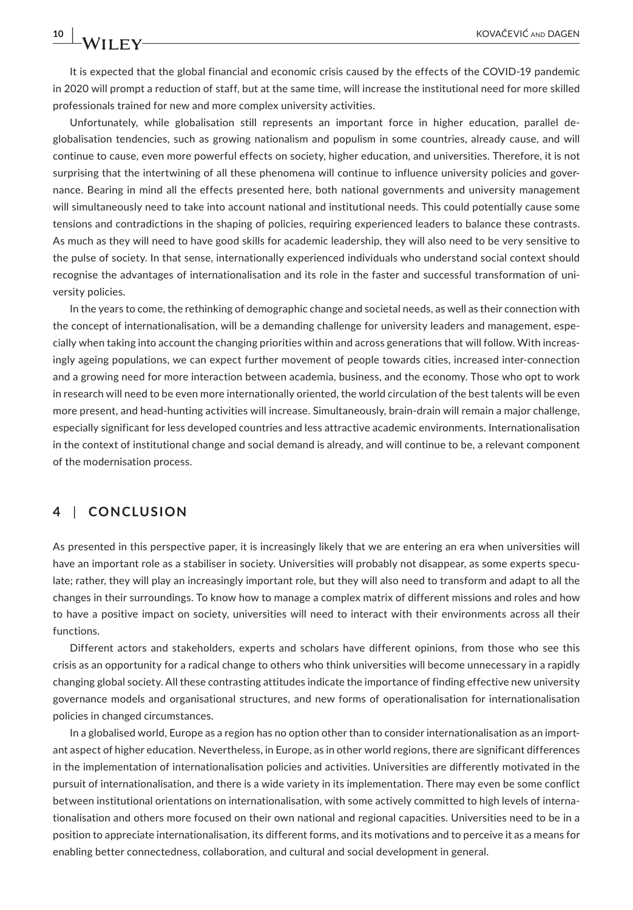## It is expected that the global financial and economic crisis caused by the effects of the COVID-19 pandemic in 2020 will prompt a reduction of staff, but at the same time, will increase the institutional need for more skilled professionals trained for new and more complex university activities.

Unfortunately, while globalisation still represents an important force in higher education, parallel deglobalisation tendencies, such as growing nationalism and populism in some countries, already cause, and will continue to cause, even more powerful effects on society, higher education, and universities. Therefore, it is not surprising that the intertwining of all these phenomena will continue to influence university policies and governance. Bearing in mind all the effects presented here, both national governments and university management will simultaneously need to take into account national and institutional needs. This could potentially cause some tensions and contradictions in the shaping of policies, requiring experienced leaders to balance these contrasts. As much as they will need to have good skills for academic leadership, they will also need to be very sensitive to the pulse of society. In that sense, internationally experienced individuals who understand social context should recognise the advantages of internationalisation and its role in the faster and successful transformation of university policies.

In the years to come, the rethinking of demographic change and societal needs, as well as their connection with the concept of internationalisation, will be a demanding challenge for university leaders and management, especially when taking into account the changing priorities within and across generations that will follow. With increasingly ageing populations, we can expect further movement of people towards cities, increased inter-connection and a growing need for more interaction between academia, business, and the economy. Those who opt to work in research will need to be even more internationally oriented, the world circulation of the best talents will be even more present, and head-hunting activities will increase. Simultaneously, brain-drain will remain a major challenge, especially significant for less developed countries and less attractive academic environments. Internationalisation in the context of institutional change and social demand is already, and will continue to be, a relevant component of the modernisation process.

## **4** | **CONCLUSION**

As presented in this perspective paper, it is increasingly likely that we are entering an era when universities will have an important role as a stabiliser in society. Universities will probably not disappear, as some experts speculate; rather, they will play an increasingly important role, but they will also need to transform and adapt to all the changes in their surroundings. To know how to manage a complex matrix of different missions and roles and how to have a positive impact on society, universities will need to interact with their environments across all their functions.

Different actors and stakeholders, experts and scholars have different opinions, from those who see this crisis as an opportunity for a radical change to others who think universities will become unnecessary in a rapidly changing global society. All these contrasting attitudes indicate the importance of finding effective new university governance models and organisational structures, and new forms of operationalisation for internationalisation policies in changed circumstances.

In a globalised world, Europe as a region has no option other than to consider internationalisation as an important aspect of higher education. Nevertheless, in Europe, as in other world regions, there are significant differences in the implementation of internationalisation policies and activities. Universities are differently motivated in the pursuit of internationalisation, and there is a wide variety in its implementation. There may even be some conflict between institutional orientations on internationalisation, with some actively committed to high levels of internationalisation and others more focused on their own national and regional capacities. Universities need to be in a position to appreciate internationalisation, its different forms, and its motivations and to perceive it as a means for enabling better connectedness, collaboration, and cultural and social development in general.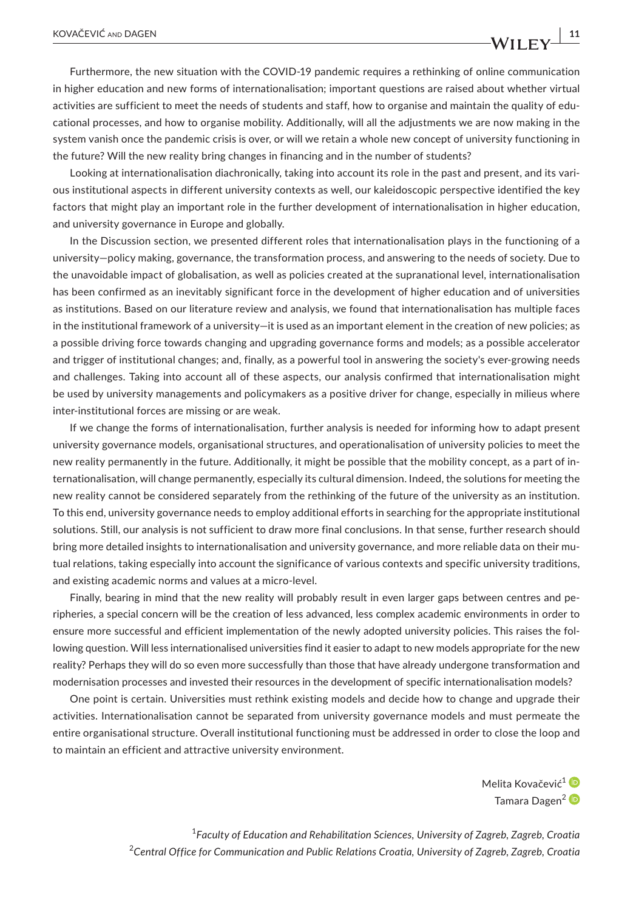Furthermore, the new situation with the COVID-19 pandemic requires a rethinking of online communication in higher education and new forms of internationalisation; important questions are raised about whether virtual activities are sufficient to meet the needs of students and staff, how to organise and maintain the quality of educational processes, and how to organise mobility. Additionally, will all the adjustments we are now making in the system vanish once the pandemic crisis is over, or will we retain a whole new concept of university functioning in the future? Will the new reality bring changes in financing and in the number of students?

Looking at internationalisation diachronically, taking into account its role in the past and present, and its various institutional aspects in different university contexts as well, our kaleidoscopic perspective identified the key factors that might play an important role in the further development of internationalisation in higher education, and university governance in Europe and globally.

In the Discussion section, we presented different roles that internationalisation plays in the functioning of a university—policy making, governance, the transformation process, and answering to the needs of society. Due to the unavoidable impact of globalisation, as well as policies created at the supranational level, internationalisation has been confirmed as an inevitably significant force in the development of higher education and of universities as institutions. Based on our literature review and analysis, we found that internationalisation has multiple faces in the institutional framework of a university—it is used as an important element in the creation of new policies; as a possible driving force towards changing and upgrading governance forms and models; as a possible accelerator and trigger of institutional changes; and, finally, as a powerful tool in answering the society's ever-growing needs and challenges. Taking into account all of these aspects, our analysis confirmed that internationalisation might be used by university managements and policymakers as a positive driver for change, especially in milieus where inter-institutional forces are missing or are weak.

If we change the forms of internationalisation, further analysis is needed for informing how to adapt present university governance models, organisational structures, and operationalisation of university policies to meet the new reality permanently in the future. Additionally, it might be possible that the mobility concept, as a part of internationalisation, will change permanently, especially its cultural dimension. Indeed, the solutions for meeting the new reality cannot be considered separately from the rethinking of the future of the university as an institution. To this end, university governance needs to employ additional efforts in searching for the appropriate institutional solutions. Still, our analysis is not sufficient to draw more final conclusions. In that sense, further research should bring more detailed insights to internationalisation and university governance, and more reliable data on their mutual relations, taking especially into account the significance of various contexts and specific university traditions, and existing academic norms and values at a micro-level.

Finally, bearing in mind that the new reality will probably result in even larger gaps between centres and peripheries, a special concern will be the creation of less advanced, less complex academic environments in order to ensure more successful and efficient implementation of the newly adopted university policies. This raises the following question. Will less internationalised universities find it easier to adapt to new models appropriate for the new reality? Perhaps they will do so even more successfully than those that have already undergone transformation and modernisation processes and invested their resources in the development of specific internationalisation models?

One point is certain. Universities must rethink existing models and decide how to change and upgrade their activities. Internationalisation cannot be separated from university governance models and must permeate the entire organisational structure. Overall institutional functioning must be addressed in order to close the loop and to maintain an efficient and attractive university environment.

> Melita Kovačević<sup>1</sup> Tamara Dagen<sup>2</sup>

1 *Faculty of Education and Rehabilitation Sciences, University of Zagreb, Zagreb, Croatia* 2 *Central Office for Communication and Public Relations Croatia, University of Zagreb, Zagreb, Croatia*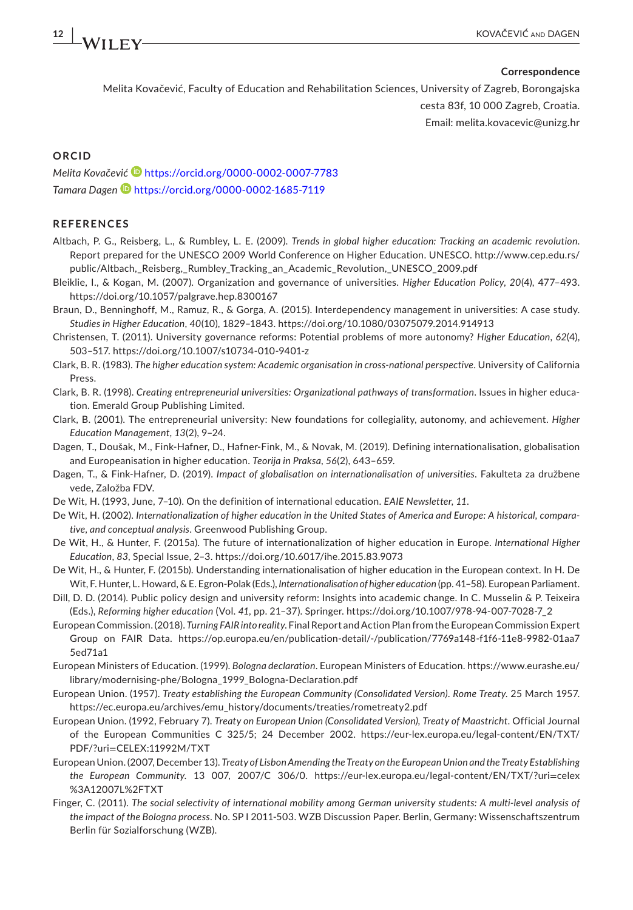#### **Correspondence**

Melita Kovačević, Faculty of Education and Rehabilitation Sciences, University of Zagreb, Borongajska cesta 83f, 10 000 Zagreb, Croatia. Email: [melita.kovacevic@unizg.hr](mailto:melita.kovacevic@unizg.hr)

#### **ORCID**

*Melita Kovačevi[ć](https://orcid.org/0000-0002-0007-7783)* <https://orcid.org/0000-0002-0007-7783> *Tamara Dagen* <https://orcid.org/0000-0002-1685-7119>

#### **REFERENCES**

- Altbach, P. G., Reisberg, L., & Rumbley, L. E. (2009). *Trends in global higher education: Tracking an academic revolution*. Report prepared for the UNESCO 2009 World Conference on Higher Education. UNESCO. [http://www.cep.edu.rs/](http://www.cep.edu.rs/public/Altbach,_Reisberg,_Rumbley_Tracking_an_Academic_Revolution,_UNESCO_2009.pdf) [public/Altbach,\\_Reisberg,\\_Rumbley\\_Tracking\\_an\\_Academic\\_Revolution,\\_UNESCO\\_2009.pdf](http://www.cep.edu.rs/public/Altbach,_Reisberg,_Rumbley_Tracking_an_Academic_Revolution,_UNESCO_2009.pdf)
- Bleiklie, I., & Kogan, M. (2007). Organization and governance of universities. *Higher Education Policy*, *20*(4), 477–493. <https://doi.org/10.1057/palgrave.hep.8300167>
- Braun, D., Benninghoff, M., Ramuz, R., & Gorga, A. (2015). Interdependency management in universities: A case study. *Studies in Higher Education*, *40*(10), 1829–1843.<https://doi.org/10.1080/03075079.2014.914913>
- Christensen, T. (2011). University governance reforms: Potential problems of more autonomy? *Higher Education*, *62*(4), 503–517. <https://doi.org/10.1007/s10734-010-9401-z>
- Clark, B. R. (1983). *The higher education system: Academic organisation in cross-national perspective*. University of California Press.
- Clark, B. R. (1998). *Creating entrepreneurial universities: Organizational pathways of transformation*. Issues in higher education. Emerald Group Publishing Limited.
- Clark, B. (2001). The entrepreneurial university: New foundations for collegiality, autonomy, and achievement. *Higher Education Management*, *13*(2), 9–24.
- Dagen, T., Doušak, M., Fink-Hafner, D., Hafner-Fink, M., & Novak, M. (2019). Defining internationalisation, globalisation and Europeanisation in higher education. *Teorija in Praksa*, *56*(2), 643–659.
- Dagen, T., & Fink-Hafner, D. (2019). *Impact of globalisation on internationalisation of universities*. Fakulteta za družbene vede, Založba FDV.
- De Wit, H. (1993, June, 7–10). On the definition of international education. *EAIE Newsletter*, *11*.
- De Wit, H. (2002). *Internationalization of higher education in the United States of America and Europe: A historical, comparative, and conceptual analysis*. Greenwood Publishing Group.
- De Wit, H., & Hunter, F. (2015a). The future of internationalization of higher education in Europe. *International Higher Education*, *83*, Special Issue, 2–3. <https://doi.org/10.6017/ihe.2015.83.9073>
- De Wit, H., & Hunter, F. (2015b). Understanding internationalisation of higher education in the European context. In H. De Wit, F. Hunter, L. Howard, & E. Egron-Polak (Eds.), *Internationalisation of higher education* (pp. 41–58). European Parliament.
- Dill, D. D. (2014). Public policy design and university reform: Insights into academic change. In C. Musselin & P. Teixeira (Eds.), *Reforming higher education* (Vol. *41*, pp. 21–37). Springer. [https://doi.org/10.1007/978-94-007-7028-7\\_2](https://doi.org/10.1007/978-94-007-7028-7_2)
- European Commission. (2018). *Turning FAIR into reality*. Final Report and Action Plan from the European Commission Expert Group on FAIR Data. [https://op.europa.eu/en/publication-detail/-/publication/7769a148-f1f6-11e8-9982-01aa7](https://op.europa.eu/en/publication-detail/-/publication/7769a148-f1f6-11e8-9982-01aa75ed71a1) [5ed71a1](https://op.europa.eu/en/publication-detail/-/publication/7769a148-f1f6-11e8-9982-01aa75ed71a1)
- European Ministers of Education. (1999). *Bologna declaration*. European Ministers of Education. [https://www.eurashe.eu/](https://www.eurashe.eu/library/modernising-phe/Bologna_1999_Bologna-Declaration.pdf) library/modernising-phe/Bologna 1999 Bologna-Declaration.pdf
- European Union. (1957). *Treaty establishing the European Community (Consolidated Version)*. *Rome Treaty*. 25 March 1957. [https://ec.europa.eu/archives/emu\\_history/documents/treaties/rometreaty2.pdf](https://ec.europa.eu/archives/emu_history/documents/treaties/rometreaty2.pdf)
- European Union. (1992, February 7). *Treaty on European Union (Consolidated Version), Treaty of Maastricht*. Official Journal of the European Communities C 325/5; 24 December 2002. [https://eur-lex.europa.eu/legal-content/EN/TXT/](https://eur-lex.europa.eu/legal-content/EN/TXT/PDF/?uri=CELEX:11992M/TXT) PDF/?uri=[CELEX:11992M/TXT](https://eur-lex.europa.eu/legal-content/EN/TXT/PDF/?uri=CELEX:11992M/TXT)
- European Union. (2007, December 13). *Treaty of Lisbon Amending the Treaty on the European Union and the Treaty Establishing the European Community*. 13 007, 2007/C 306/0. [https://eur-lex.europa.eu/legal-content/EN/TXT/?uri](https://eur-lex.europa.eu/legal-content/EN/TXT/?uri=celex%3A12007L%2FTXT)=celex [%3A12007L%2FTXT](https://eur-lex.europa.eu/legal-content/EN/TXT/?uri=celex%3A12007L%2FTXT)
- Finger, C. (2011). *The social selectivity of international mobility among German university students: A multi-level analysis of the impact of the Bologna process*. No. SP I 2011-503. WZB Discussion Paper. Berlin, Germany: Wissenschaftszentrum Berlin für Sozialforschung (WZB).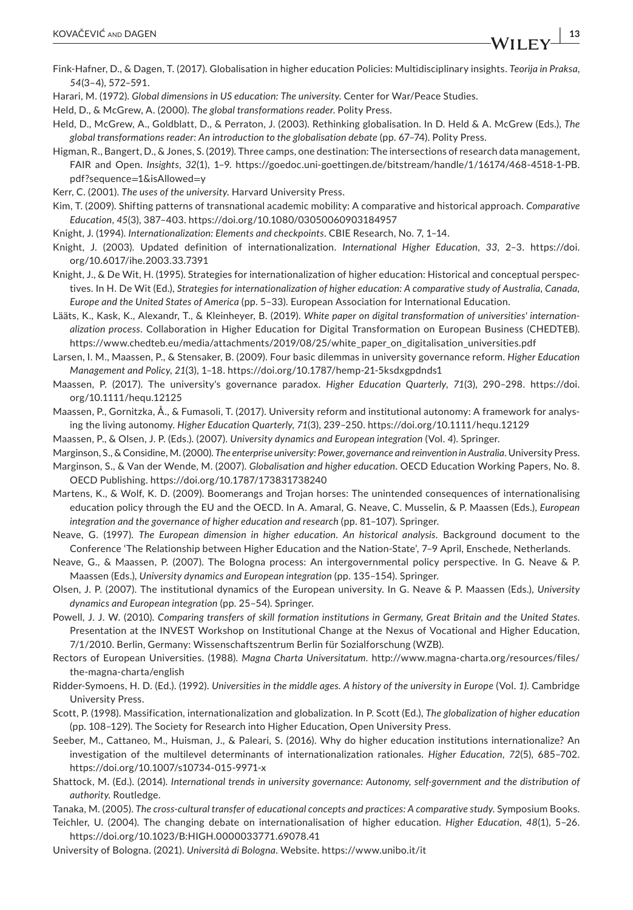- Fink-Hafner, D., & Dagen, T. (2017). Globalisation in higher education Policies: Multidisciplinary insights. *Teorija in Praksa*, *54*(3–4), 572–591.
- Harari, M. (1972). *Global dimensions in US education: The university*. Center for War/Peace Studies.
- Held, D., & McGrew, A. (2000). *The global transformations reader*. Polity Press.
- Held, D., McGrew, A., Goldblatt, D., & Perraton, J. (2003). Rethinking globalisation. In D. Held & A. McGrew (Eds.), *The global transformations reader: An introduction to the globalisation debate* (pp. 67–74). Polity Press.
- Higman, R., Bangert, D., & Jones, S. (2019). Three camps, one destination: The intersections of research data management, FAIR and Open. *Insights*, *32*(1), 1–9. [https://goedoc.uni-goettingen.de/bitstream/handle/1/16174/468-4518-1-PB.](https://goedoc.uni-goettingen.de/bitstream/handle/1/16174/468-4518-1-PB.pdf?sequence=1&isAllowed=y) [pdf?sequence](https://goedoc.uni-goettingen.de/bitstream/handle/1/16174/468-4518-1-PB.pdf?sequence=1&isAllowed=y)=1&isAllowed=y
- Kerr, C. (2001). *The uses of the university*. Harvard University Press.
- Kim, T. (2009). Shifting patterns of transnational academic mobility: A comparative and historical approach. *Comparative Education*, *45*(3), 387–403. <https://doi.org/10.1080/03050060903184957>
- Knight, J. (1994). *Internationalization: Elements and checkpoints*. CBIE Research, No. 7, 1–14.
- Knight, J. (2003). Updated definition of internationalization. *International Higher Education*, *33*, 2–3. [https://doi.](https://doi.org/10.6017/ihe.2003.33.7391) [org/10.6017/ihe.2003.33.7391](https://doi.org/10.6017/ihe.2003.33.7391)
- Knight, J., & De Wit, H. (1995). Strategies for internationalization of higher education: Historical and conceptual perspectives. In H. De Wit (Ed.), *Strategies for internationalization of higher education: A comparative study of Australia, Canada, Europe and the United States of America* (pp. 5–33). European Association for International Education.
- Lääts, K., Kask, K., Alexandr, T., & Kleinheyer, B. (2019). *White paper on digital transformation of universities' internationalization process*. Collaboration in Higher Education for Digital Transformation on European Business (CHEDTEB). [https://www.chedteb.eu/media/attachments/2019/08/25/white\\_paper\\_on\\_digitalisation\\_universities.pdf](https://www.chedteb.eu/media/attachments/2019/08/25/white_paper_on_digitalisation_universities.pdf)
- Larsen, I. M., Maassen, P., & Stensaker, B. (2009). Four basic dilemmas in university governance reform. *Higher Education Management and Policy*, *21*(3), 1–18.<https://doi.org/10.1787/hemp-21-5ksdxgpdnds1>
- Maassen, P. (2017). The university's governance paradox. *Higher Education Quarterly*, *71*(3), 290–298. [https://doi.](https://doi.org/10.1111/hequ.12125) [org/10.1111/hequ.12125](https://doi.org/10.1111/hequ.12125)
- Maassen, P., Gornitzka, Å., & Fumasoli, T. (2017). University reform and institutional autonomy: A framework for analysing the living autonomy. *Higher Education Quarterly*, *71*(3), 239–250. <https://doi.org/10.1111/hequ.12129>
- Maassen, P., & Olsen, J. P. (Eds.). (2007). *University dynamics and European integration* (Vol. *4*). Springer.
- Marginson, S., & Considine, M. (2000). *The enterprise university: Power, governance and reinvention in Australia*. University Press.
- Marginson, S., & Van der Wende, M. (2007). *Globalisation and higher education*. OECD Education Working Papers, No. 8. OECD Publishing.<https://doi.org/10.1787/173831738240>
- Martens, K., & Wolf, K. D. (2009). Boomerangs and Trojan horses: The unintended consequences of internationalising education policy through the EU and the OECD. In A. Amaral, G. Neave, C. Musselin, & P. Maassen (Eds.), *European integration and the governance of higher education and research* (pp. 81–107). Springer.
- Neave, G. (1997). *The European dimension in higher education. An historical analysis*. Background document to the Conference 'The Relationship between Higher Education and the Nation-State', 7–9 April, Enschede, Netherlands.
- Neave, G., & Maassen, P. (2007). The Bologna process: An intergovernmental policy perspective. In G. Neave & P. Maassen (Eds.), *University dynamics and European integration* (pp. 135–154). Springer.
- Olsen, J. P. (2007). The institutional dynamics of the European university. In G. Neave & P. Maassen (Eds.), *University dynamics and European integration* (pp. 25–54). Springer.
- Powell, J. J. W. (2010). *Comparing transfers of skill formation institutions in Germany, Great Britain and the United States*. Presentation at the INVEST Workshop on Institutional Change at the Nexus of Vocational and Higher Education, 7/1/2010. Berlin, Germany: Wissenschaftszentrum Berlin für Sozialforschung (WZB).
- Rectors of European Universities. (1988). *Magna Charta Universitatum*. [http://www.magna-charta.org/resources/files/](http://www.magna-charta.org/resources/files/the-magna-charta/english) [the-magna-charta/english](http://www.magna-charta.org/resources/files/the-magna-charta/english)
- Ridder-Symoens, H. D. (Ed.). (1992). *Universities in the middle ages. A history of the university in Europe* (Vol. *1)*. Cambridge University Press.
- Scott, P. (1998). Massification, internationalization and globalization. In P. Scott (Ed.), *The globalization of higher education* (pp. 108–129). The Society for Research into Higher Education, Open University Press.
- Seeber, M., Cattaneo, M., Huisman, J., & Paleari, S. (2016). Why do higher education institutions internationalize? An investigation of the multilevel determinants of internationalization rationales. *Higher Education*, *72*(5), 685–702. <https://doi.org/10.1007/s10734-015-9971-x>
- Shattock, M. (Ed.). (2014). *International trends in university governance: Autonomy, self-government and the distribution of authority*. Routledge.
- Tanaka, M. (2005). *The cross-cultural transfer of educational concepts and practices: A comparative study*. Symposium Books.
- Teichler, U. (2004). The changing debate on internationalisation of higher education. *Higher Education*, *48*(1), 5–26. <https://doi.org/10.1023/B:HIGH.0000033771.69078.41>
- University of Bologna. (2021). *Università di Bologna*. Website. <https://www.unibo.it/it>